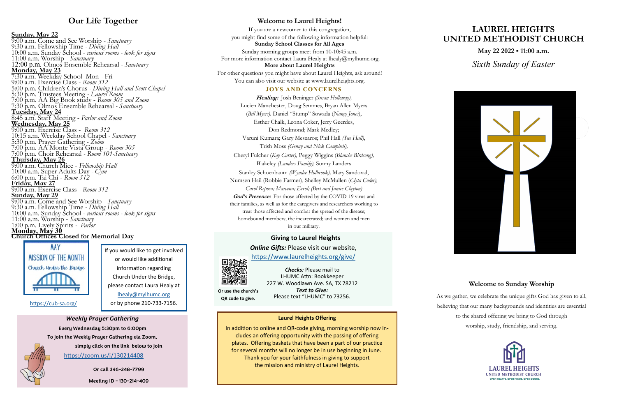## **Our Life Together**

**Sunday, May 22** 9:00 a.m. Come and See Worship - *Sanctuary* 9:30 a.m. Fellowship Time *- Dining Hall*  10:00 a.m. Sunday School - *various rooms - look for signs*  11:00 a.m. Worship - *Sanctuary* 12:00 p.m. Olmos Ensemble Rehearsal *- Sanctuary* **Monday, May 23** 7:30 a.m. Weekday School Mon - Fri 9:00 a.m. Exercise Class - *Room 312* 5:00 p.m. Children's Chorus *- Dining Hall and Scott Chapel* 5:30 p.m. Trustees Meeting *- Laurel Room* 7:00 p.m. AA Big Book study - *Room 305 and Zoom*  7:30 p.m. Olmos Ensemble Rehearsal *- Sanctuary* **Tuesday, May 24** 8:45 a.m. Staff Meeting - *Parlor and Zoom* **Wednesday, May 25** 9:00 a.m. Exercise Class - *Room 312* 10:15 a.m. Weekday School Chapel *- Sanctuary* 5:30 p.m. Prayer Gathering *- Zoom* 7:00 p.m. AA Monte Vista Group - *Room 305* 7:00 p.m. Choir Rehearsal *- Room 101-Sanctuary* **Thursday, May 26** 9:00 a.m. Church Mice - *Fellowship Hall* 10:00 a.m. Super Adults Day *- Gym* 6:00 p.m. Tai Chi - *Room 312* **Friday, May 27** 9:00 a.m. Exercise Class - *Room 312* **Sunday, May 29** 9:00 a.m. Come and See Worship - *Sanctuary* 9:30 a.m. Fellowship Time *- Dining Hall*  10:00 a.m. Sunday School - *various rooms - look for signs*  11:00 a.m. Worship - *Sanctuary* 1:00 p.m. Lively Spirits *- Parlor* **Monday, May 30 Church Offices Closed for Memorial Day**



If you are a newcomer to this congregation, you might find some of the following information helpful: **Sunday School Classes for All Ages** Sunday morning groups meet from 10-10:45 a.m. For more information contact Laura Healy at lhealy@mylhumc.org. **More about Laurel Heights**  For other questions you might have about Laurel Heights, ask around! You can also visit our website at www.laurelheights.org.

# **LAUREL HEIGHTS UNITED METHODIST CHURCH**

**May 22 2022 ▪ 11:00 a.m.** 

*Sixth Sunday of Easter*



## **Welcome to Sunday Worship**



As we gather, we celebrate the unique gifts God has given to all, believing that our many backgrounds and identities are essential to the shared offering we bring to God through worship, study, friendship, and serving.



## **Giving to Laurel Heights**

### *Online Gifts:* Please visit our website,

<https://www.laurelheights.org/give/>

*Text to Give:*  Please text "LHUMC" to 73256.

*Checks:* Please mail to LHUMC Attn: Bookkeeper 227 W. Woodlawn Ave. SA, TX 78212

## **Welcome to Laurel Heights!**

**Or use the church's QR code to give.**

#### **JOYS AND CONCERNS**

**Healing:** Josh Beninger *(Susan Holloway),*  Lucien Manchester, Doug Semmes, Bryan Allen Myers (*Bill Myers),* Daniel "Stump" Sowada (*Nancy Jones*), Esther Chalk, Leona Coker, Jerry Geerdes, Don Redmond; Mark Medley; Varuni Kumara; Gary Meszaros; Phil Hall *(Sue Hall)*, Trish Moss *(Genny and Nick Campbell),*  Cheryl Fulcher (*Kay Carter),* Peggy Wiggins (*Blanche Birdsong),* Blakeley *(Landers Family),* Sonny Landers Stanley Schoenbaum *(Wyndee Holbrook),* Mary Sandoval, Numsen Hail (Robbie Farmer), Shelley McMullen (*Clyta Coder), Carol Reposa; Marvena; Errol; (Bert and Janice Clayton)* God's Presence: For those affected by the COVID-19 virus and their families, as well as for the caregivers and researchers working to treat those affected and combat the spread of the disease; homebound members; the incarcerated; and women and men in our military.

If you would like to get involved or would like additional information regarding Church Under the Bridge, please contact Laura Healy at [lhealy@mylhumc.org](mailto:lhealy@mylhumc.org) or by phone 210-733-7156.

### **Laurel Heights Offering**

In addition to online and QR-code giving, morning worship now includes an offering opportunity with the passing of offering plates. Offering baskets that have been a part of our practice for several months will no longer be in use beginning in June. Thank you for your faithfulness in giving to support the mission and ministry of Laurel Heights.

*Weekly Prayer Gathering*  **Every Wednesday 5:30pm to 6:00pm To join the Weekly Prayer Gathering via Zoom,**

**simply click on the link below to join**

**Or call 346-248-7799**

**Meeting ID - 130-214-409**



[https://cub](https://cub-sa.org/)-sa.org/